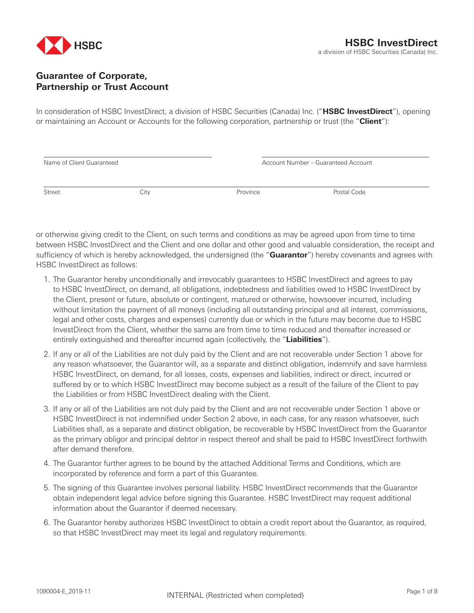

## **Guarantee of Corporate, Partnership or Trust Account**

In consideration of HSBC InvestDirect, a division of HSBC Securities (Canada) Inc. ("**HSBC InvestDirect**"), opening or maintaining an Account or Accounts for the following corporation, partnership or trust (the "**Client**"):

| Name of Client Guaranteed |      |          | Account Number - Guaranteed Account |  |  |
|---------------------------|------|----------|-------------------------------------|--|--|
|                           |      |          |                                     |  |  |
| Street                    | City | Province | Postal Code                         |  |  |

or otherwise giving credit to the Client, on such terms and conditions as may be agreed upon from time to time between HSBC InvestDirect and the Client and one dollar and other good and valuable consideration, the receipt and sufficiency of which is hereby acknowledged, the undersigned (the "**Guarantor**") hereby covenants and agrees with HSBC InvestDirect as follows:

- 1. The Guarantor hereby unconditionally and irrevocably guarantees to HSBC InvestDirect and agrees to pay to HSBC InvestDirect, on demand, all obligations, indebtedness and liabilities owed to HSBC InvestDirect by the Client, present or future, absolute or contingent, matured or otherwise, howsoever incurred, including without limitation the payment of all moneys (including all outstanding principal and all interest, commissions, legal and other costs, charges and expenses) currently due or which in the future may become due to HSBC InvestDirect from the Client, whether the same are from time to time reduced and thereafter increased or entirely extinguished and thereafter incurred again (collectively, the "**Liabilities**").
- 2. If any or all of the Liabilities are not duly paid by the Client and are not recoverable under Section 1 above for any reason whatsoever, the Guarantor will, as a separate and distinct obligation, indemnify and save harmless HSBC InvestDirect, on demand, for all losses, costs, expenses and liabilities, indirect or direct, incurred or suffered by or to which HSBC InvestDirect may become subject as a result of the failure of the Client to pay the Liabilities or from HSBC InvestDirect dealing with the Client.
- 3. If any or all of the Liabilities are not duly paid by the Client and are not recoverable under Section 1 above or HSBC InvestDirect is not indemnified under Section 2 above, in each case, for any reason whatsoever, such Liabilities shall, as a separate and distinct obligation, be recoverable by HSBC InvestDirect from the Guarantor as the primary obligor and principal debtor in respect thereof and shall be paid to HSBC InvestDirect forthwith after demand therefore.
- 4. The Guarantor further agrees to be bound by the attached Additional Terms and Conditions, which are incorporated by reference and form a part of this Guarantee.
- 5. The signing of this Guarantee involves personal liability. HSBC InvestDirect recommends that the Guarantor obtain independent legal advice before signing this Guarantee. HSBC InvestDirect may request additional information about the Guarantor if deemed necessary.
- 6. The Guarantor hereby authorizes HSBC InvestDirect to obtain a credit report about the Guarantor, as required, so that HSBC InvestDirect may meet its legal and regulatory requirements.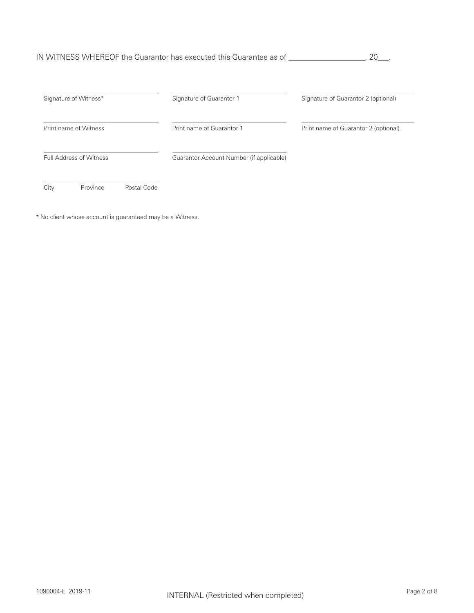## IN WITNESS WHEREOF the Guarantor has executed this Guarantee as of , 20 .

| Signature of Witness*          | Signature of Guarantor 1                 | Signature of Guarantor 2 (optional)  |
|--------------------------------|------------------------------------------|--------------------------------------|
| Print name of Witness          | Print name of Guarantor 1                | Print name of Guarantor 2 (optional) |
| <b>Full Address of Witness</b> | Guarantor Account Number (if applicable) |                                      |
| Province<br>City               | Postal Code                              |                                      |

\* No client whose account is guaranteed may be a Witness.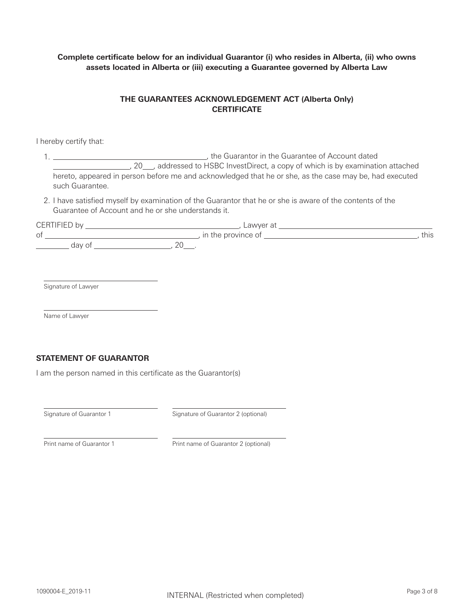**Complete certificate below for an individual Guarantor (i) who resides in Alberta, (ii) who owns assets located in Alberta or (iii) executing a Guarantee governed by Alberta Law**

## **THE GUARANTEES ACKNOWLEDGEMENT ACT (Alberta Only) CERTIFICATE**

I hereby certify that:

1. , the Guarantor in the Guarantee of Account dated 50. 20 addressed to HSBC InvestDirect, a copy of which is by examination attached hereto, appeared in person before me and acknowledged that he or she, as the case may be, had executed such Guarantee.

2. I have satisfied myself by examination of the Guarantor that he or she is aware of the contents of the Guarantee of Account and he or she understands it.

| $\cap$<br>ורי<br>- | ∟awyer a†          |      |  |
|--------------------|--------------------|------|--|
| 0t                 | In the province of | this |  |
| dav (<br>╰         | $\mathcal{L}$      |      |  |

Signature of Lawyer

Name of Lawyer

## **STATEMENT OF GUARANTOR**

I am the person named in this certificate as the Guarantor(s)

Signature of Guarantor 1 Signature of Guarantor 2 (optional)

Print name of Guarantor 1 Print name of Guarantor 2 (optional)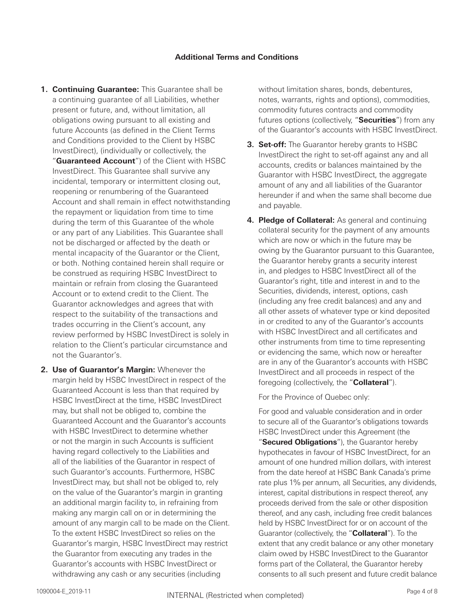**1. Continuing Guarantee:** This Guarantee shall be a continuing guarantee of all Liabilities, whether present or future, and, without limitation, all obligations owing pursuant to all existing and future Accounts (as defined in the Client Terms and Conditions provided to the Client by HSBC InvestDirect), (individually or collectively, the

"**Guaranteed Account**") of the Client with HSBC InvestDirect. This Guarantee shall survive any incidental, temporary or intermittent closing out, reopening or renumbering of the Guaranteed Account and shall remain in effect notwithstanding the repayment or liquidation from time to time during the term of this Guarantee of the whole or any part of any Liabilities. This Guarantee shall not be discharged or affected by the death or mental incapacity of the Guarantor or the Client, or both. Nothing contained herein shall require or be construed as requiring HSBC InvestDirect to maintain or refrain from closing the Guaranteed Account or to extend credit to the Client. The Guarantor acknowledges and agrees that with respect to the suitability of the transactions and trades occurring in the Client's account, any review performed by HSBC InvestDirect is solely in relation to the Client's particular circumstance and not the Guarantor's.

**2. Use of Guarantor's Margin:** Whenever the margin held by HSBC InvestDirect in respect of the Guaranteed Account is less than that required by HSBC InvestDirect at the time, HSBC InvestDirect may, but shall not be obliged to, combine the Guaranteed Account and the Guarantor's accounts with HSBC InvestDirect to determine whether or not the margin in such Accounts is sufficient having regard collectively to the Liabilities and all of the liabilities of the Guarantor in respect of such Guarantor's accounts. Furthermore, HSBC InvestDirect may, but shall not be obliged to, rely on the value of the Guarantor's margin in granting an additional margin facility to, in refraining from making any margin call on or in determining the amount of any margin call to be made on the Client. To the extent HSBC InvestDirect so relies on the Guarantor's margin, HSBC InvestDirect may restrict the Guarantor from executing any trades in the Guarantor's accounts with HSBC InvestDirect or withdrawing any cash or any securities (including

without limitation shares, bonds, debentures, notes, warrants, rights and options), commodities, commodity futures contracts and commodity futures options (collectively, "**Securities**") from any of the Guarantor's accounts with HSBC InvestDirect.

- **3. Set-off:** The Guarantor hereby grants to HSBC InvestDirect the right to set-off against any and all accounts, credits or balances maintained by the Guarantor with HSBC InvestDirect, the aggregate amount of any and all liabilities of the Guarantor hereunder if and when the same shall become due and payable.
- **4. Pledge of Collateral:** As general and continuing collateral security for the payment of any amounts which are now or which in the future may be owing by the Guarantor pursuant to this Guarantee, the Guarantor hereby grants a security interest in, and pledges to HSBC InvestDirect all of the Guarantor's right, title and interest in and to the Securities, dividends, interest, options, cash (including any free credit balances) and any and all other assets of whatever type or kind deposited in or credited to any of the Guarantor's accounts with HSBC InvestDirect and all certificates and other instruments from time to time representing or evidencing the same, which now or hereafter are in any of the Guarantor's accounts with HSBC InvestDirect and all proceeds in respect of the foregoing (collectively, the "**Collateral**").

For the Province of Quebec only:

For good and valuable consideration and in order to secure all of the Guarantor's obligations towards HSBC InvestDirect under this Agreement (the "**Secured Obligations**"), the Guarantor hereby hypothecates in favour of HSBC InvestDirect, for an amount of one hundred million dollars, with interest from the date hereof at HSBC Bank Canada's prime rate plus 1% per annum, all Securities, any dividends, interest, capital distributions in respect thereof, any proceeds derived from the sale or other disposition thereof, and any cash, including free credit balances held by HSBC InvestDirect for or on account of the Guarantor (collectively, the "**Collateral**"). To the extent that any credit balance or any other monetary claim owed by HSBC InvestDirect to the Guarantor forms part of the Collateral, the Guarantor hereby consents to all such present and future credit balance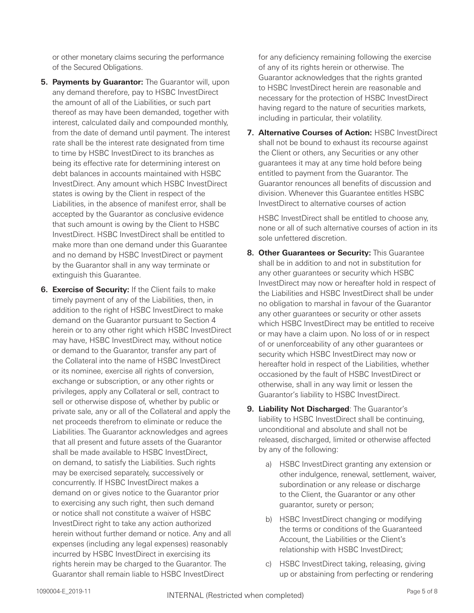or other monetary claims securing the performance of the Secured Obligations.

- **5. Payments by Guarantor:** The Guarantor will, upon any demand therefore, pay to HSBC InvestDirect the amount of all of the Liabilities, or such part thereof as may have been demanded, together with interest, calculated daily and compounded monthly, from the date of demand until payment. The interest rate shall be the interest rate designated from time to time by HSBC InvestDirect to its branches as being its effective rate for determining interest on debt balances in accounts maintained with HSBC InvestDirect. Any amount which HSBC InvestDirect states is owing by the Client in respect of the Liabilities, in the absence of manifest error, shall be accepted by the Guarantor as conclusive evidence that such amount is owing by the Client to HSBC InvestDirect. HSBC InvestDirect shall be entitled to make more than one demand under this Guarantee and no demand by HSBC InvestDirect or payment by the Guarantor shall in any way terminate or extinguish this Guarantee.
- **6. Exercise of Security:** If the Client fails to make timely payment of any of the Liabilities, then, in addition to the right of HSBC InvestDirect to make demand on the Guarantor pursuant to Section 4 herein or to any other right which HSBC InvestDirect may have, HSBC InvestDirect may, without notice or demand to the Guarantor, transfer any part of the Collateral into the name of HSBC InvestDirect or its nominee, exercise all rights of conversion, exchange or subscription, or any other rights or privileges, apply any Collateral or sell, contract to sell or otherwise dispose of, whether by public or private sale, any or all of the Collateral and apply the net proceeds therefrom to eliminate or reduce the Liabilities. The Guarantor acknowledges and agrees that all present and future assets of the Guarantor shall be made available to HSBC InvestDirect, on demand, to satisfy the Liabilities. Such rights may be exercised separately, successively or concurrently. If HSBC InvestDirect makes a demand on or gives notice to the Guarantor prior to exercising any such right, then such demand or notice shall not constitute a waiver of HSBC InvestDirect right to take any action authorized herein without further demand or notice. Any and all expenses (including any legal expenses) reasonably incurred by HSBC InvestDirect in exercising its rights herein may be charged to the Guarantor. The Guarantor shall remain liable to HSBC InvestDirect

for any deficiency remaining following the exercise of any of its rights herein or otherwise. The Guarantor acknowledges that the rights granted to HSBC InvestDirect herein are reasonable and necessary for the protection of HSBC InvestDirect having regard to the nature of securities markets, including in particular, their volatility.

**7. Alternative Courses of Action:** HSBC InvestDirect shall not be bound to exhaust its recourse against the Client or others, any Securities or any other guarantees it may at any time hold before being entitled to payment from the Guarantor. The Guarantor renounces all benefits of discussion and division. Whenever this Guarantee entitles HSBC InvestDirect to alternative courses of action

HSBC InvestDirect shall be entitled to choose any, none or all of such alternative courses of action in its sole unfettered discretion.

- **8. Other Guarantees or Security:** This Guarantee shall be in addition to and not in substitution for any other guarantees or security which HSBC InvestDirect may now or hereafter hold in respect of the Liabilities and HSBC InvestDirect shall be under no obligation to marshal in favour of the Guarantor any other guarantees or security or other assets which HSBC InvestDirect may be entitled to receive or may have a claim upon. No loss of or in respect of or unenforceability of any other guarantees or security which HSBC InvestDirect may now or hereafter hold in respect of the Liabilities, whether occasioned by the fault of HSBC InvestDirect or otherwise, shall in any way limit or lessen the Guarantor's liability to HSBC InvestDirect.
- **9. Liability Not Discharged**: The Guarantor's liability to HSBC InvestDirect shall be continuing, unconditional and absolute and shall not be released, discharged, limited or otherwise affected by any of the following:
	- a) HSBC InvestDirect granting any extension or other indulgence, renewal, settlement, waiver, subordination or any release or discharge to the Client, the Guarantor or any other guarantor, surety or person;
	- b) HSBC InvestDirect changing or modifying the terms or conditions of the Guaranteed Account, the Liabilities or the Client's relationship with HSBC InvestDirect;
	- c) HSBC InvestDirect taking, releasing, giving up or abstaining from perfecting or rendering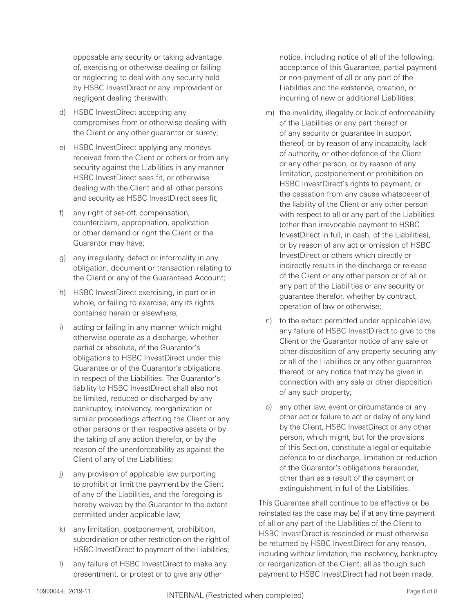opposable any security or taking advantage of, exercising or otherwise dealing or failing or neglecting to deal with any security held by HSBC InvestDirect or any improvident or negligent dealing therewith;

- d) HSBC InvestDirect accepting any compromises from or otherwise dealing with the Client or any other guarantor or surety;
- e) HSBC InvestDirect applying any moneys received from the Client or others or from any security against the Liabilities in any manner HSBC InvestDirect sees fit, or otherwise dealing with the Client and all other persons and security as HSBC InvestDirect sees fit;
- f) any right of set-off, compensation, counterclaim, appropriation, application or other demand or right the Client or the Guarantor may have;
- g) any irregularity, defect or informality in any obligation, document or transaction relating to the Client or any of the Guaranteed Account;
- h) HSBC InvestDirect exercising, in part or in whole, or failing to exercise, any its rights contained herein or elsewhere;
- i) acting or failing in any manner which might otherwise operate as a discharge, whether partial or absolute, of the Guarantor's obligations to HSBC InvestDirect under this Guarantee or of the Guarantor's obligations in respect of the Liabilities. The Guarantor's liability to HSBC InvestDirect shall also not be limited, reduced or discharged by any bankruptcy, insolvency, reorganization or similar proceedings affecting the Client or any other persons or their respective assets or by the taking of any action therefor, or by the reason of the unenforceability as against the Client of any of the Liabilities;
- j) any provision of applicable law purporting to prohibit or limit the payment by the Client of any of the Liabilities, and the foregoing is hereby waived by the Guarantor to the extent permitted under applicable law;
- k) any limitation, postponement, prohibition, subordination or other restriction on the right of HSBC InvestDirect to payment of the Liabilities;
- l) any failure of HSBC InvestDirect to make any presentment, or protest or to give any other

notice, including notice of all of the following: acceptance of this Guarantee, partial payment or non-payment of all or any part of the Liabilities and the existence, creation, or incurring of new or additional Liabilities;

- m) the invalidity, illegality or lack of enforceability of the Liabilities or any part thereof or of any security or guarantee in support thereof, or by reason of any incapacity, lack of authority, or other defence of the Client or any other person, or by reason of any limitation, postponement or prohibition on HSBC InvestDirect's rights to payment, or the cessation from any cause whatsoever of the liability of the Client or any other person with respect to all or any part of the Liabilities (other than irrevocable payment to HSBC InvestDirect in full, in cash, of the Liabilities), or by reason of any act or omission of HSBC InvestDirect or others which directly or indirectly results in the discharge or release of the Client or any other person or of all or any part of the Liabilities or any security or guarantee therefor, whether by contract, operation of law or otherwise;
- n) to the extent permitted under applicable law, any failure of HSBC InvestDirect to give to the Client or the Guarantor notice of any sale or other disposition of any property securing any or all of the Liabilities or any other guarantee thereof, or any notice that may be given in connection with any sale or other disposition of any such property;
- o) any other law, event or circumstance or any other act or failure to act or delay of any kind by the Client, HSBC InvestDirect or any other person, which might, but for the provisions of this Section, constitute a legal or equitable defence to or discharge, limitation or reduction of the Guarantor's obligations hereunder, other than as a result of the payment or extinguishment in full of the Liabilities.

This Guarantee shall continue to be effective or be reinstated (as the case may be) if at any time payment of all or any part of the Liabilities of the Client to HSBC InvestDirect is rescinded or must otherwise be returned by HSBC InvestDirect for any reason, including without limitation, the insolvency, bankruptcy or reorganization of the Client, all as though such payment to HSBC InvestDirect had not been made.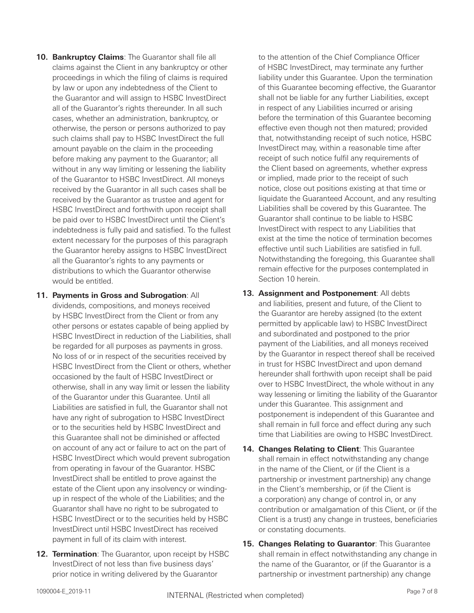- **10. Bankruptcy Claims**: The Guarantor shall file all claims against the Client in any bankruptcy or other proceedings in which the filing of claims is required by law or upon any indebtedness of the Client to the Guarantor and will assign to HSBC InvestDirect all of the Guarantor's rights thereunder. In all such cases, whether an administration, bankruptcy, or otherwise, the person or persons authorized to pay such claims shall pay to HSBC InvestDirect the full amount payable on the claim in the proceeding before making any payment to the Guarantor; all without in any way limiting or lessening the liability of the Guarantor to HSBC InvestDirect. All moneys received by the Guarantor in all such cases shall be received by the Guarantor as trustee and agent for HSBC InvestDirect and forthwith upon receipt shall be paid over to HSBC InvestDirect until the Client's indebtedness is fully paid and satisfied. To the fullest extent necessary for the purposes of this paragraph the Guarantor hereby assigns to HSBC InvestDirect all the Guarantor's rights to any payments or distributions to which the Guarantor otherwise would be entitled.
- **11. Payments in Gross and Subrogation**: All dividends, compositions, and moneys received by HSBC InvestDirect from the Client or from any other persons or estates capable of being applied by HSBC InvestDirect in reduction of the Liabilities, shall be regarded for all purposes as payments in gross. No loss of or in respect of the securities received by HSBC InvestDirect from the Client or others, whether occasioned by the fault of HSBC InvestDirect or otherwise, shall in any way limit or lessen the liability of the Guarantor under this Guarantee. Until all Liabilities are satisfied in full, the Guarantor shall not have any right of subrogation to HSBC InvestDirect or to the securities held by HSBC InvestDirect and this Guarantee shall not be diminished or affected on account of any act or failure to act on the part of HSBC InvestDirect which would prevent subrogation from operating in favour of the Guarantor. HSBC InvestDirect shall be entitled to prove against the estate of the Client upon any insolvency or windingup in respect of the whole of the Liabilities; and the Guarantor shall have no right to be subrogated to HSBC InvestDirect or to the securities held by HSBC InvestDirect until HSBC InvestDirect has received payment in full of its claim with interest.
- **12. Termination**: The Guarantor, upon receipt by HSBC InvestDirect of not less than five business days' prior notice in writing delivered by the Guarantor

to the attention of the Chief Compliance Officer of HSBC InvestDirect, may terminate any further liability under this Guarantee. Upon the termination of this Guarantee becoming effective, the Guarantor shall not be liable for any further Liabilities, except in respect of any Liabilities incurred or arising before the termination of this Guarantee becoming effective even though not then matured; provided that, notwithstanding receipt of such notice, HSBC InvestDirect may, within a reasonable time after receipt of such notice fulfil any requirements of the Client based on agreements, whether express or implied, made prior to the receipt of such notice, close out positions existing at that time or liquidate the Guaranteed Account, and any resulting Liabilities shall be covered by this Guarantee. The Guarantor shall continue to be liable to HSBC InvestDirect with respect to any Liabilities that exist at the time the notice of termination becomes effective until such Liabilities are satisfied in full. Notwithstanding the foregoing, this Guarantee shall remain effective for the purposes contemplated in Section 10 herein.

- **13. Assignment and Postponement**: All debts and liabilities, present and future, of the Client to the Guarantor are hereby assigned (to the extent permitted by applicable law) to HSBC InvestDirect and subordinated and postponed to the prior payment of the Liabilities, and all moneys received by the Guarantor in respect thereof shall be received in trust for HSBC InvestDirect and upon demand hereunder shall forthwith upon receipt shall be paid over to HSBC InvestDirect, the whole without in any way lessening or limiting the liability of the Guarantor under this Guarantee. This assignment and postponement is independent of this Guarantee and shall remain in full force and effect during any such time that Liabilities are owing to HSBC InvestDirect.
- **14. Changes Relating to Client**: This Guarantee shall remain in effect notwithstanding any change in the name of the Client, or (if the Client is a partnership or investment partnership) any change in the Client's membership, or (if the Client is a corporation) any change of control in, or any contribution or amalgamation of this Client, or (if the Client is a trust) any change in trustees, beneficiaries or constating documents.
- **15. Changes Relating to Guarantor**: This Guarantee shall remain in effect notwithstanding any change in the name of the Guarantor, or (if the Guarantor is a partnership or investment partnership) any change